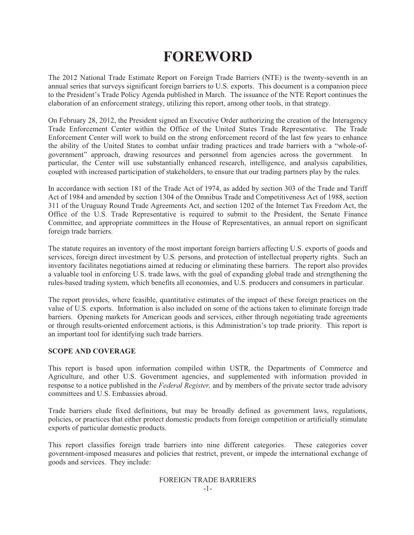# **FOREWORD**

The 2012 National Trade Estimate Report on Foreign Trade Barriers (NTE) is the twenty-seventh in an annual series that surveys significant foreign barriers to U.S. exports. This document is a companion piece to the President's Trade Policy Agenda published in March. The issuance of the NTE Report continues the elaboration of an enforcement strategy, utilizing this report, among other tools, in that strategy.

On February 28, 2012, the President signed an Executive Order authorizing the creation of the Interagency Trade Enforcement Center within the Office of the United States Trade Representative. The Trade Enforcement Center will work to build on the strong enforcement record of the last few years to enhance the ability of the United States to combat unfair trading practices and trade barriers with a "whole-ofgovernment" approach, drawing resources and personnel from agencies across the government. In particular, the Center will use substantially enhanced research, intelligence, and analysis capabilities, coupled with increased participation of stakeholders, to ensure that our trading partners play by the rules.

In accordance with section 181 of the Trade Act of 1974, as added by section 303 of the Trade and Tariff Act of 1984 and amended by section 1304 of the Omnibus Trade and Competitiveness Act of 1988, section 311 of the Uruguay Round Trade Agreements Act, and section 1202 of the Internet Tax Freedom Act, the Office of the U.S. Trade Representative is required to submit to the President, the Senate Finance Committee, and appropriate committees in the House of Representatives, an annual report on significant foreign trade barriers.

The statute requires an inventory of the most important foreign barriers affecting U.S. exports of goods and services, foreign direct investment by U.S. persons, and protection of intellectual property rights. Such an inventory facilitates negotiations aimed at reducing or eliminating these barriers. The report also provides a valuable tool in enforcing U.S. trade laws, with the goal of expanding global trade and strengthening the rules-based trading system, which benefits all economies, and U.S. producers and consumers in particular.

The report provides, where feasible, quantitative estimates of the impact of these foreign practices on the value of U.S. exports. Information is also included on some of the actions taken to eliminate foreign trade barriers. Opening markets for American goods and services, either through negotiating trade agreements or through results-oriented enforcement actions, is this Administration's top trade priority. This report is an important tool for identifying such trade barriers.

### **SCOPE AND COVERAGE**

This report is based upon information compiled within USTR, the Departments of Commerce and Agriculture, and other U.S. Government agencies, and supplemented with information provided in response to a notice published in the *Federal Register,* and by members of the private sector trade advisory committees and U.S. Embassies abroad.

Trade barriers elude fixed definitions, but may be broadly defined as government laws, regulations, policies, or practices that either protect domestic products from foreign competition or artificially stimulate exports of particular domestic products.

This report classifies foreign trade barriers into nine different categories. These categories cover government-imposed measures and policies that restrict, prevent, or impede the international exchange of goods and services. They include: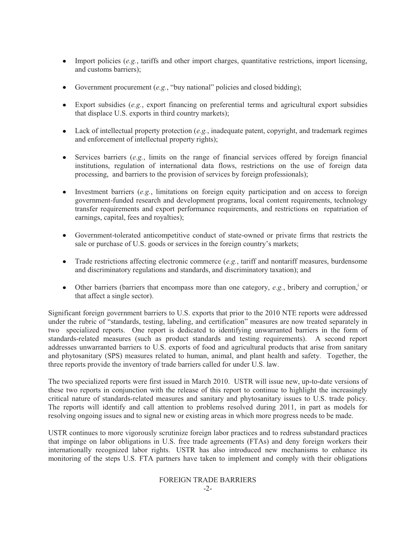- Import policies (*e.g.*, tariffs and other import charges, quantitative restrictions, import licensing,  $\bullet$ and customs barriers);
- Government procurement (*e.g.*, "buy national" policies and closed bidding);  $\bullet$  .
- Export subsidies (*e.g.*, export financing on preferential terms and agricultural export subsidies  $\bullet$ that displace U.S. exports in third country markets);
- Lack of intellectual property protection (*e.g.*, inadequate patent, copyright, and trademark regimes and enforcement of intellectual property rights);
- Services barriers (*e.g.*, limits on the range of financial services offered by foreign financial  $\bullet$ institutions, regulation of international data flows, restrictions on the use of foreign data processing, and barriers to the provision of services by foreign professionals);
- Investment barriers (*e.g.*, limitations on foreign equity participation and on access to foreign government-funded research and development programs, local content requirements, technology transfer requirements and export performance requirements, and restrictions on repatriation of earnings, capital, fees and royalties);
- Government-tolerated anticompetitive conduct of state-owned or private firms that restricts the sale or purchase of U.S. goods or services in the foreign country's markets;
- $\bullet$ Trade restrictions affecting electronic commerce (*e.g.*, tariff and nontariff measures, burdensome and discriminatory regulations and standards, and discriminatory taxation); and
- Other barriers (barriers that encompass more than one category, e.g., bribery and corruption, or that affect a single sector).

Significant foreign government barriers to U.S. exports that prior to the 2010 NTE reports were addressed under the rubric of "standards, testing, labeling, and certification" measures are now treated separately in two specialized reports. One report is dedicated to identifying unwarranted barriers in the form of standards-related measures (such as product standards and testing requirements). A second report addresses unwarranted barriers to U.S. exports of food and agricultural products that arise from sanitary and phytosanitary (SPS) measures related to human, animal, and plant health and safety. Together, the three reports provide the inventory of trade barriers called for under U.S. law.

The two specialized reports were first issued in March 2010. USTR will issue new, up-to-date versions of these two reports in conjunction with the release of this report to continue to highlight the increasingly critical nature of standards-related measures and sanitary and phytosanitary issues to U.S. trade policy. The reports will identify and call attention to problems resolved during 2011, in part as models for resolving ongoing issues and to signal new or existing areas in which more progress needs to be made.

USTR continues to more vigorously scrutinize foreign labor practices and to redress substandard practices that impinge on labor obligations in U.S. free trade agreements (FTAs) and deny foreign workers their internationally recognized labor rights. USTR has also introduced new mechanisms to enhance its monitoring of the steps U.S. FTA partners have taken to implement and comply with their obligations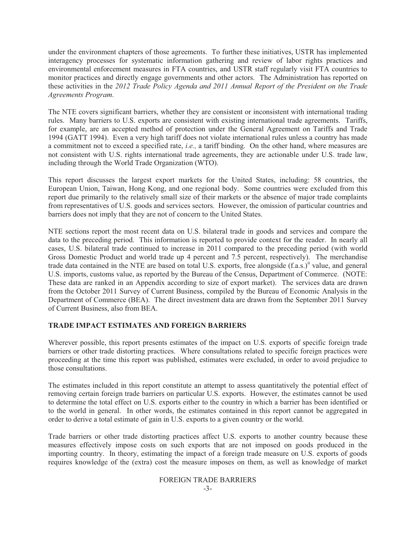under the environment chapters of those agreements. To further these initiatives, USTR has implemented interagency processes for systematic information gathering and review of labor rights practices and environmental enforcement measures in FTA countries, and USTR staff regularly visit FTA countries to monitor practices and directly engage governments and other actors. The Administration has reported on these activities in the *2012 Trade Policy Agenda and 2011 Annual Report of the President on the Trade Agreements Program*.

The NTE covers significant barriers, whether they are consistent or inconsistent with international trading rules. Many barriers to U.S. exports are consistent with existing international trade agreements. Tariffs, for example, are an accepted method of protection under the General Agreement on Tariffs and Trade 1994 (GATT 1994). Even a very high tariff does not violate international rules unless a country has made a commitment not to exceed a specified rate, *i.e.,* a tariff binding. On the other hand, where measures are not consistent with U.S. rights international trade agreements, they are actionable under U.S. trade law, including through the World Trade Organization (WTO).

This report discusses the largest export markets for the United States, including: 58 countries, the European Union, Taiwan, Hong Kong, and one regional body. Some countries were excluded from this report due primarily to the relatively small size of their markets or the absence of major trade complaints from representatives of U.S. goods and services sectors. However, the omission of particular countries and barriers does not imply that they are not of concern to the United States.

NTE sections report the most recent data on U.S. bilateral trade in goods and services and compare the data to the preceding period. This information is reported to provide context for the reader. In nearly all cases, U.S. bilateral trade continued to increase in 2011 compared to the preceding period (with world Gross Domestic Product and world trade up 4 percent and 7.5 percent, respectively). The merchandise trade data contained in the NTE are based on total U.S. exports, free alongside (f.a.s.)<sup>ii</sup> value, and general U.S. imports, customs value, as reported by the Bureau of the Census, Department of Commerce. (NOTE: These data are ranked in an Appendix according to size of export market). The services data are drawn from the October 2011 Survey of Current Business, compiled by the Bureau of Economic Analysis in the Department of Commerce (BEA). The direct investment data are drawn from the September 2011 Survey of Current Business, also from BEA.

#### **TRADE IMPACT ESTIMATES AND FOREIGN BARRIERS**

Wherever possible, this report presents estimates of the impact on U.S. exports of specific foreign trade barriers or other trade distorting practices. Where consultations related to specific foreign practices were proceeding at the time this report was published, estimates were excluded, in order to avoid prejudice to those consultations.

The estimates included in this report constitute an attempt to assess quantitatively the potential effect of removing certain foreign trade barriers on particular U.S. exports. However, the estimates cannot be used to determine the total effect on U.S. exports either to the country in which a barrier has been identified or to the world in general. In other words, the estimates contained in this report cannot be aggregated in order to derive a total estimate of gain in U.S. exports to a given country or the world.

Trade barriers or other trade distorting practices affect U.S. exports to another country because these measures effectively impose costs on such exports that are not imposed on goods produced in the importing country. In theory, estimating the impact of a foreign trade measure on U.S. exports of goods requires knowledge of the (extra) cost the measure imposes on them, as well as knowledge of market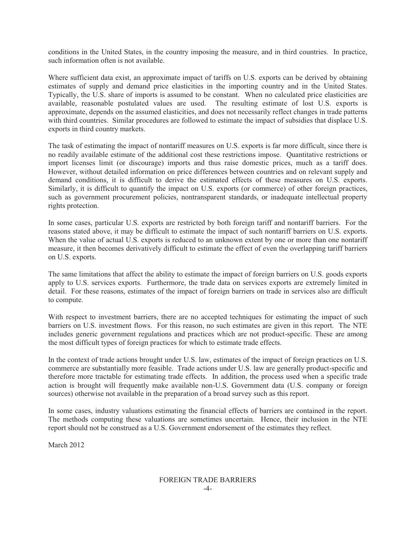conditions in the United States, in the country imposing the measure, and in third countries. In practice, such information often is not available.

Where sufficient data exist, an approximate impact of tariffs on U.S. exports can be derived by obtaining estimates of supply and demand price elasticities in the importing country and in the United States. Typically, the U.S. share of imports is assumed to be constant. When no calculated price elasticities are available, reasonable postulated values are used. The resulting estimate of lost U.S. exports is approximate, depends on the assumed elasticities, and does not necessarily reflect changes in trade patterns with third countries. Similar procedures are followed to estimate the impact of subsidies that displace U.S. exports in third country markets.

The task of estimating the impact of nontariff measures on U.S. exports is far more difficult, since there is no readily available estimate of the additional cost these restrictions impose. Quantitative restrictions or import licenses limit (or discourage) imports and thus raise domestic prices, much as a tariff does. However, without detailed information on price differences between countries and on relevant supply and demand conditions, it is difficult to derive the estimated effects of these measures on U.S. exports. Similarly, it is difficult to quantify the impact on U.S. exports (or commerce) of other foreign practices, such as government procurement policies, nontransparent standards, or inadequate intellectual property rights protection.

In some cases, particular U.S. exports are restricted by both foreign tariff and nontariff barriers. For the reasons stated above, it may be difficult to estimate the impact of such nontariff barriers on U.S. exports. When the value of actual U.S. exports is reduced to an unknown extent by one or more than one nontariff measure, it then becomes derivatively difficult to estimate the effect of even the overlapping tariff barriers on U.S. exports.

The same limitations that affect the ability to estimate the impact of foreign barriers on U.S. goods exports apply to U.S. services exports. Furthermore, the trade data on services exports are extremely limited in detail. For these reasons, estimates of the impact of foreign barriers on trade in services also are difficult to compute.

With respect to investment barriers, there are no accepted techniques for estimating the impact of such barriers on U.S. investment flows. For this reason, no such estimates are given in this report. The NTE includes generic government regulations and practices which are not product-specific. These are among the most difficult types of foreign practices for which to estimate trade effects.

In the context of trade actions brought under U.S. law, estimates of the impact of foreign practices on U.S. commerce are substantially more feasible. Trade actions under U.S. law are generally product-specific and therefore more tractable for estimating trade effects. In addition, the process used when a specific trade action is brought will frequently make available non-U.S. Government data (U.S. company or foreign sources) otherwise not available in the preparation of a broad survey such as this report.

In some cases, industry valuations estimating the financial effects of barriers are contained in the report. The methods computing these valuations are sometimes uncertain. Hence, their inclusion in the NTE report should not be construed as a U.S. Government endorsement of the estimates they reflect.

March 2012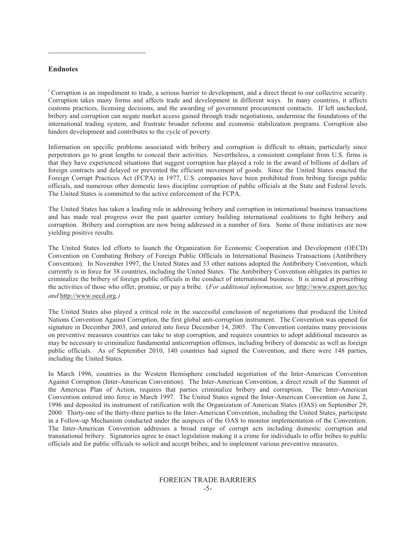#### **Endnotes**

 $\overline{a}$ 

<sup>i</sup> Corruption is an impediment to trade, a serious barrier to development, and a direct threat to our collective security. Corruption takes many forms and affects trade and development in different ways. In many countries, it affects customs practices, licensing decisions, and the awarding of government procurement contracts. If left unchecked, bribery and corruption can negate market access gained through trade negotiations, undermine the foundations of the international trading system, and frustrate broader reforms and economic stabilization programs. Corruption also hinders development and contributes to the cycle of poverty.

Information on specific problems associated with bribery and corruption is difficult to obtain, particularly since perpetrators go to great lengths to conceal their activities. Nevertheless, a consistent complaint from U.S. firms is that they have experienced situations that suggest corruption has played a role in the award of billions of dollars of foreign contracts and delayed or prevented the efficient movement of goods. Since the United States enacted the Foreign Corrupt Practices Act (FCPA) in 1977, U.S. companies have been prohibited from bribing foreign public officials, and numerous other domestic laws discipline corruption of public officials at the State and Federal levels. The United States is committed to the active enforcement of the FCPA.

The United States has taken a leading role in addressing bribery and corruption in international business transactions and has made real progress over the past quarter century building international coalitions to fight bribery and corruption. Bribery and corruption are now being addressed in a number of fora. Some of these initiatives are now yielding positive results.

The United States led efforts to launch the Organization for Economic Cooperation and Development (OECD) Convention on Combating Bribery of Foreign Public Officials in International Business Transactions (Antibribery Convention). In November 1997, the United States and 33 other nations adopted the Antibribery Convention, which currently is in force for 38 countries, including the United States. The Antibribery Convention obligates its parties to criminalize the bribery of foreign public officials in the conduct of international business. It is aimed at proscribing the activities of those who offer, promise, or pay a bribe. (*For additional information, see* http://www.export.gov/tcc *and* http://www.oecd.org*.)*

The United States also played a critical role in the successful conclusion of negotiations that produced the United Nations Convention Against Corruption, the first global anti-corruption instrument. The Convention was opened for signature in December 2003, and entered into force December 14, 2005. The Convention contains many provisions on preventive measures countries can take to stop corruption, and requires countries to adopt additional measures as may be necessary to criminalize fundamental anticorruption offenses, including bribery of domestic as well as foreign public officials. As of September 2010, 140 countries had signed the Convention, and there were 148 parties, including the United States.

In March 1996, countries in the Western Hemisphere concluded negotiation of the Inter-American Convention Against Corruption (Inter-American Convention). The Inter-American Convention, a direct result of the Summit of the Americas Plan of Action, requires that parties criminalize bribery and corruption. The Inter-American Convention entered into force in March 1997. The United States signed the Inter-American Convention on June 2, 1996 and deposited its instrument of ratification with the Organization of American States (OAS) on September 29, 2000. Thirty-one of the thirty-three parties to the Inter-American Convention, including the United States, participate in a Follow-up Mechanism conducted under the auspices of the OAS to monitor implementation of the Convention. The Inter-American Convention addresses a broad range of corrupt acts including domestic corruption and transnational bribery. Signatories agree to enact legislation making it a crime for individuals to offer bribes to public officials and for public officials to solicit and accept bribes, and to implement various preventive measures.